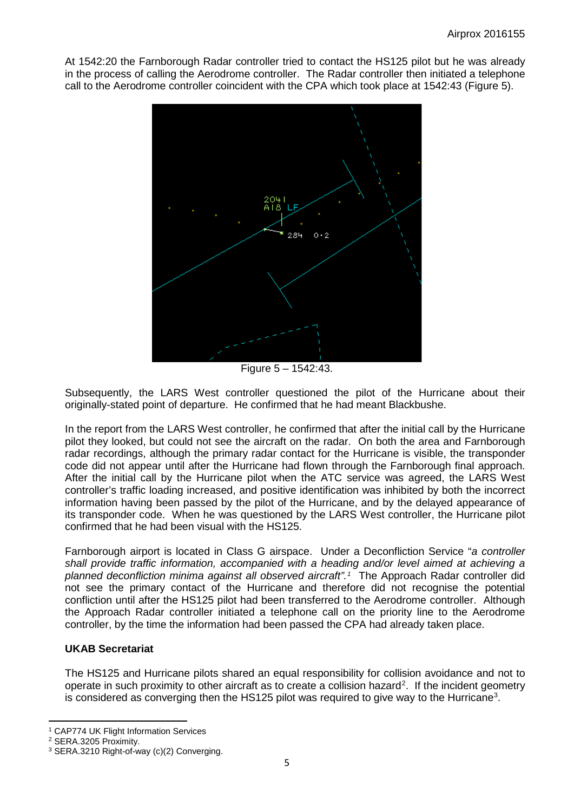At 1542:20 the Farnborough Radar controller tried to contact the HS125 pilot but he was already in the process of calling the Aerodrome controller. The Radar controller then initiated a telephone call to the Aerodrome controller coincident with the CPA which took place at 1542:43 (Figure 5).



Subsequently, the LARS West controlle question the pilot of the Hurricane about their originally-stated point of departure. He configuration that meant Blackbushe.

In the report from the LARS controller, he confirmed that after the initial call by the Hurricane pilot they looked, build not the aircraft the radar. On both the area and Farnborough radar recordings and return in the research of the Hurricane is visible, the transponder rough the relative radar contact for the Hurricane is visible, the transponder code did not a var until after  $\ell$ . Hurricane had solution through the Farnborough final approach. After the initial by the Hurrican interviewhen the ATC service was agreed, the LARS West controller's traffic  $\mathbf{q}$  ased, and positive identification was inhibited by both the incorrect information having  $b_{\text{c}}$  issed by the pilot of the Hurricane, and by the delayed appearance of its the when was questioned by the LARS West controller, the Hurricane pilot had been vial with the HS125.

Farnborough airport in located class G airspace. Under a Deconfliction Service "*a controller*<br>
shall provide traffic commetion, accompanied with a heading and/or level aimed at achieving a *shall provide traffic* information, accompanied with a heading and/or level aimed at achieving a **vantage of the mat**<br>Nanned deconflictiol in inma against all observed aircraft".<sup>1</sup> The Approach Radar controller did *inima against all observed aircraft*".<sup>1</sup> The Approach Radar controller did see the primary ontact of the Hurricane and therefore did not recognise the potential  $c<sub>u</sub>$  tion until after  $\frac{1}{2}$  HS125 pilot had been transferred to the Aerodrome controller. Although the **Approach Radar controller initiated a telephone call on the priority line to the Aerodrome** controller with the information had been passed the CPA had already taken place.

## **UKAB Secretariat**

The HS125 and Hurricane pilots shared an equal responsibility for collision avoidance and not to operate in such proximity to other aircraft as to create a collision hazard<sup>[2](#page-4-1)</sup>. If the incident geometry is considered as converging then the HS125 pilot was required to give way to the Hurricane<sup>[3](#page-4-2)</sup>.

 $\overline{a}$ 

<span id="page-4-0"></span><sup>1</sup> CAP774 UK Flight Information Services

<span id="page-4-1"></span><sup>2</sup> SERA.3205 Proximity.

<span id="page-4-2"></span><sup>3</sup> SERA.3210 Right-of-way (c)(2) Converging.